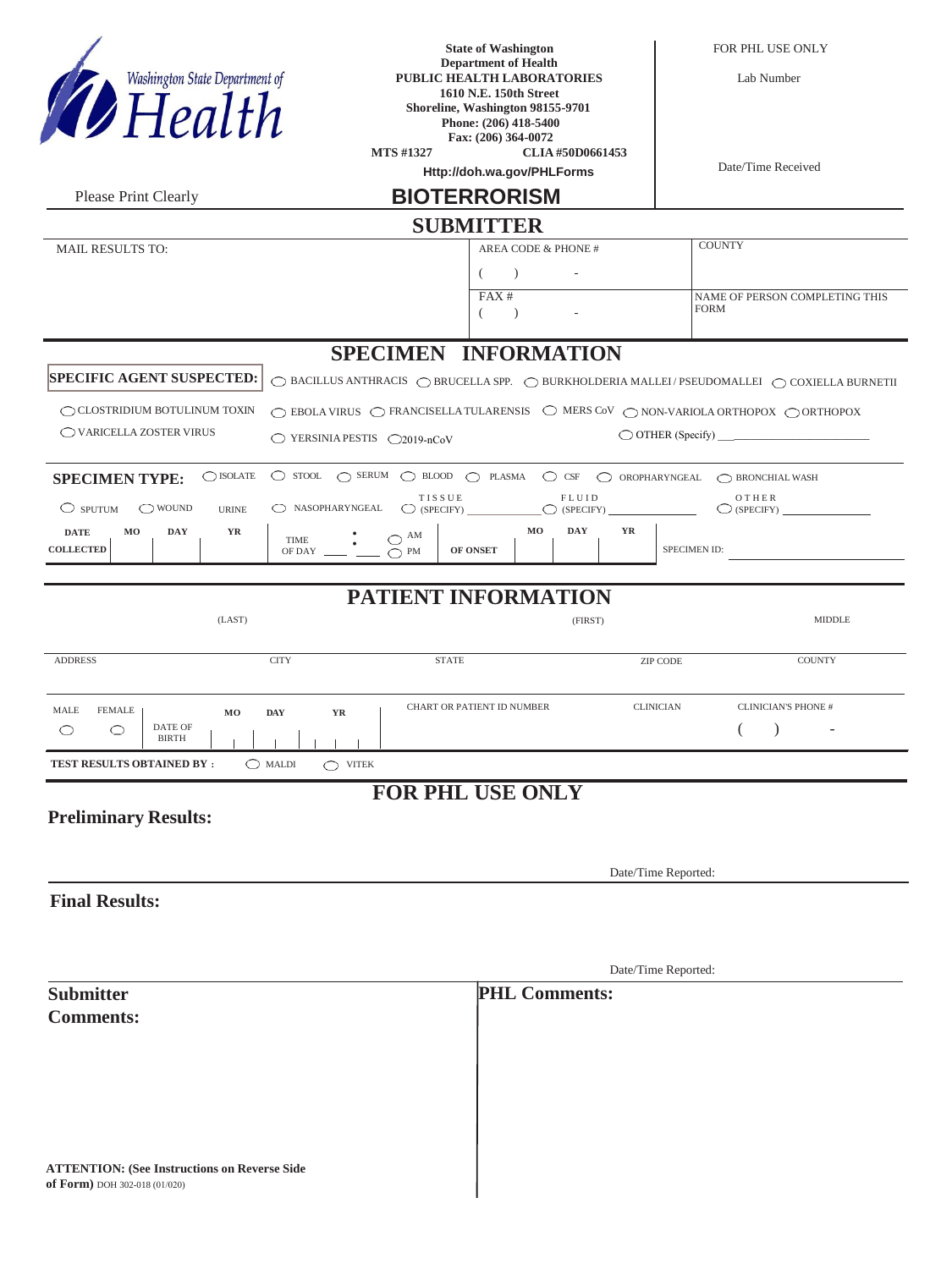| Washington State Department of                                                       |                                                 | <b>State of Washington</b><br><b>Department of Health</b><br>PUBLIC HEALTH LABORATORIES<br>1610 N.E. 150th Street                      |                               | FOR PHL USE ONLY<br>Lab Number                                                                                                    |
|--------------------------------------------------------------------------------------|-------------------------------------------------|----------------------------------------------------------------------------------------------------------------------------------------|-------------------------------|-----------------------------------------------------------------------------------------------------------------------------------|
| Health                                                                               |                                                 | Shoreline, Washington 98155-9701<br>Phone: (206) 418-5400<br>Fax: (206) 364-0072<br><b>MTS #1327</b><br>Http://doh.wa.gov/PHLForms     | CLIA #50D0661453              | Date/Time Received                                                                                                                |
| Please Print Clearly                                                                 |                                                 | <b>BIOTERRORISM</b>                                                                                                                    |                               |                                                                                                                                   |
|                                                                                      |                                                 | <b>SUBMITTER</b>                                                                                                                       |                               |                                                                                                                                   |
| <b>MAIL RESULTS TO:</b>                                                              |                                                 | AREA CODE & PHONE #<br>$\lambda$                                                                                                       |                               | <b>COUNTY</b>                                                                                                                     |
|                                                                                      |                                                 | FAX#<br>$\lambda$                                                                                                                      |                               | NAME OF PERSON COMPLETING THIS<br><b>FORM</b>                                                                                     |
|                                                                                      |                                                 | <b>SPECIMEN INFORMATION</b>                                                                                                            |                               |                                                                                                                                   |
| <b>SPECIFIC AGENT SUSPECTED:</b>                                                     |                                                 |                                                                                                                                        |                               | $\bigcirc$ BACILLUS ANTHRACIS $\bigcirc$ BRUCELLA SPP. $\bigcirc$ BUKKHOLDERIA MALLEI / PSEUDOMALLEI $\bigcirc$ COXIELLA BURNETII |
| $\bigcirc$ CLOSTRIDIUM BOTULINUM TOXIN<br>◯ VARICELLA ZOSTER VIRUS                   | $\bigcirc$ YERSINIA PESTIS $\bigcirc$ 2019-nCoV | $\bigcirc$ EBOLA VIRUS $\bigcirc$ FRANCISELLA TULARENSIS $\bigcirc$ MERS COV $\bigcirc$ NON-VARIOLA ORTHOPOX $\bigcirc$ ORTHOPOX       |                               |                                                                                                                                   |
| $\bigcirc$ ISOLATE<br><b>SPECIMEN TYPE:</b>                                          |                                                 | $\bigcirc$ stool $\bigcirc$ serum $\bigcirc$ blood $\bigcirc$ plasma $\bigcirc$ csf $\bigcirc$ oropharyngeal $\bigcirc$ bronchial wash |                               |                                                                                                                                   |
| $\circ$ sputum<br>$\bigcirc$ WOUND<br><b>URINE</b>                                   | NASOPHARYNGEAL                                  | TISSUE<br>$\bigcirc$ (SPECIFY)                                                                                                         | FLUID<br>$\bigcirc$ (SPECIFY) | OTHER<br>$\bigcirc$ (SPECIFY)                                                                                                     |
| M <sub>0</sub><br><b>DAY</b><br>YR<br><b>DATE</b><br><b>COLLECTED</b>                | <b>TIME</b><br>OF DAY                           | MO<br>$\bigcirc$ $\,^{\rm AM}$<br>OF ONSET<br>$\bigcirc$ PM                                                                            | <b>DAY</b><br>YR              | SPECIMEN ID:                                                                                                                      |
|                                                                                      |                                                 | PATIENT INFORMATION                                                                                                                    |                               |                                                                                                                                   |
| (LAST)                                                                               |                                                 |                                                                                                                                        | (FIRST)                       | <b>MIDDLE</b>                                                                                                                     |
| <b>ADDRESS</b>                                                                       | <b>CITY</b>                                     | <b>STATE</b>                                                                                                                           | ZIP CODE                      | <b>COUNTY</b>                                                                                                                     |
| MALE<br>FEMALE  <br>DATE OF<br>$\circlearrowright$<br>O<br><b>BIRTH</b>              | MO DAY YR                                       | CHART OR PATIENT ID NUMBER                                                                                                             | <b>CLINICIAN</b>              | <b>CLINICIAN'S PHONE #</b>                                                                                                        |
| <b>TEST RESULTS OBTAINED BY:</b>                                                     | $\bigcirc$ MALDI<br>$\bigcirc$ VITEK            |                                                                                                                                        |                               |                                                                                                                                   |
| <b>Preliminary Results:</b>                                                          |                                                 | FOR PHL USE ONLY                                                                                                                       |                               |                                                                                                                                   |
|                                                                                      |                                                 |                                                                                                                                        |                               |                                                                                                                                   |
| Date/Time Reported:                                                                  |                                                 |                                                                                                                                        |                               |                                                                                                                                   |
| <b>Final Results:</b>                                                                |                                                 |                                                                                                                                        |                               |                                                                                                                                   |
|                                                                                      |                                                 |                                                                                                                                        |                               |                                                                                                                                   |
|                                                                                      |                                                 |                                                                                                                                        | Date/Time Reported:           |                                                                                                                                   |
| <b>Submitter</b>                                                                     |                                                 | <b>PHL Comments:</b>                                                                                                                   |                               |                                                                                                                                   |
| <b>Comments:</b>                                                                     |                                                 |                                                                                                                                        |                               |                                                                                                                                   |
|                                                                                      |                                                 |                                                                                                                                        |                               |                                                                                                                                   |
|                                                                                      |                                                 |                                                                                                                                        |                               |                                                                                                                                   |
|                                                                                      |                                                 |                                                                                                                                        |                               |                                                                                                                                   |
|                                                                                      |                                                 |                                                                                                                                        |                               |                                                                                                                                   |
| <b>ATTENTION: (See Instructions on Reverse Side</b><br>of Form) DOH 302-018 (01/020) |                                                 |                                                                                                                                        |                               |                                                                                                                                   |